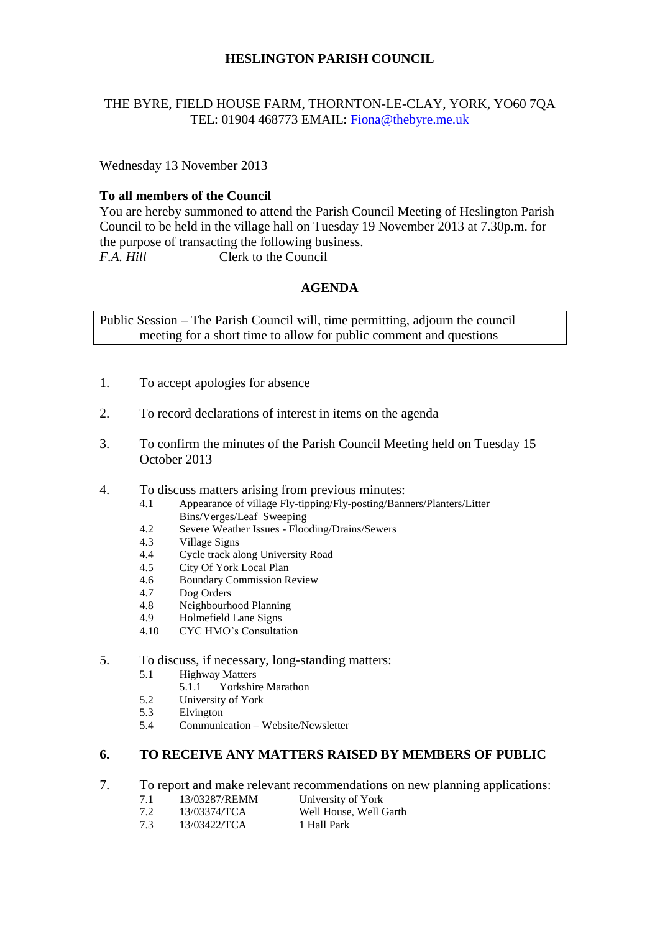# **HESLINGTON PARISH COUNCIL**

## THE BYRE, FIELD HOUSE FARM, THORNTON-LE-CLAY, YORK, YO60 7QA TEL: 01904 468773 EMAIL: [Fiona@thebyre.me.uk](mailto:Fiona@thebyre.me.uk)

Wednesday 13 November 2013

## **To all members of the Council**

You are hereby summoned to attend the Parish Council Meeting of Heslington Parish Council to be held in the village hall on Tuesday 19 November 2013 at 7.30p.m. for the purpose of transacting the following business. *F.A. Hill* Clerk to the Council

# **AGENDA**

Public Session – The Parish Council will, time permitting, adjourn the council meeting for a short time to allow for public comment and questions

- 1. To accept apologies for absence
- 2. To record declarations of interest in items on the agenda
- 3. To confirm the minutes of the Parish Council Meeting held on Tuesday 15 October 2013
- 4. To discuss matters arising from previous minutes:
	- 4.1 Appearance of village Fly-tipping/Fly-posting/Banners/Planters/Litter Bins/Verges/Leaf Sweeping
	- 4.2 Severe Weather Issues Flooding/Drains/Sewers
	- 4.3 Village Signs<br>4.4 Cycle track al
	- 4.4 Cycle track along University Road
	-
	- 4.5 City Of York Local Plan<br>4.6 Boundary Commission R 4.6 Boundary Commission Review
	- 4.7 Dog Orders
	- 4.8 Neighbourhood Planning
	- 4.9 Holmefield Lane Signs
	- 4.10 CYC HMO's Consultation
- 5. To discuss, if necessary, long-standing matters:
	- 5.1 Highway Matters
		- 5.1.1 Yorkshire Marathon
	- 5.2 University of York
	- 5.3 Elvington
	- 5.4 Communication Website/Newsletter

## **6. TO RECEIVE ANY MATTERS RAISED BY MEMBERS OF PUBLIC**

- 7. To report and make relevant recommendations on new planning applications:
	- 7.1 13/03287/REMM University of York
	- 7.2 13/03374/TCA Well House, Well Garth
	- 7.3 13/03422/TCA 1 Hall Park